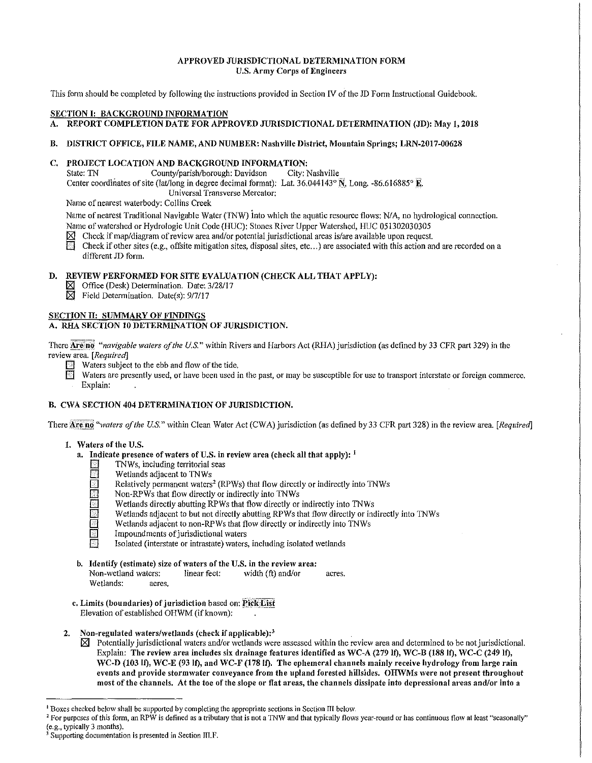## APPROVED JURISDICTIONAL DETERMINATION FORM U.S. Army Corps of Engineers

This form should be completed by following the instructions provided in Section IV of the JD Form Instructional Guidebook.

## SECTION I: BACKGROUND INFORMATION

A. REPORT COMPLETION DATE FOR APPROVED JURISDICTIONAL DETERMINATION (JD): May 1, 2018

B. DISTRICT OFFICE, FILE NAME, AND NUMBER: Nashville District, Mountain Springs; LRN-2017-00628

# C. PROJECT LOCATION AND BACKGROUND INFORMATION:<br>State: TN County/parish/borough: Davidson City: N

County/parish/borough: Davidson Center coordinates of site (lat/long in degree decimal format): Lat. 36.044143° N, Long. -86.616885° E. City: Nashville Universal Transverse Mercator:

Name of nearest waterbody: Collins Creek

Name of nearest Traditional Navigable Water (1NW) into which the aquatic resource flows: NIA, no hydrological connection. Name of watershed or Hydrologic Unit Code (HUC): Stones River Upper Watershed, HUC 051302030305

 $\boxtimes$  Check if map/diagram of review area and/or potential jurisdictional areas is/are available upon request.<br>El Check if other sites (e.g., offsite mitigation sites, disposal sites, etc...) are associated with this acti

Check if other sites (e.g., offsite mitigation sites, disposal sites, etc...) are associated with this action and are recorded on a different JD form.

## D. REVIEW PERFORMED FOR SITE EVALUATION (CHECK ALL THAT APPLY):

- $\boxtimes$  Office (Desk) Determination. Date: 3/28/17
- $\boxtimes$  Field Determination. Date(s): 9/7/17

## SECTION II: SUMMARY OF FINDINGS

## A. RIIA SECTION 10 DETERMINATION OF JURISDICTION.

There **Are no** "navigable waters of the U.S." within Rivers and Harbors Act (RHA) jurisdiction (as defined by 33 CFR part 329) in the revie\v area. *[Required]* 

- Waters subject to the ebb and flow of the tide.<br> $\Box$  Waters are presently used, or have been used i
- Waters are presently used, or have been used in the past, or may be susceptible for use to transport interstate or foreign commerce. Explain:

## B. CWA SECTION 404 DETERMINATION OF JURISDICTION.

There Are no "waters of the U.S." within Clean Water Act (CWA) jurisdiction (as defined by 33 CFR part 328) in the review area. *[Required]* 

## 1. Waters of the U.S.

- a. Indicate presence of waters of U.S. in review area (check all that apply):  $<sup>1</sup>$ </sup>
	- $\Box$  TNWs, including territorial seas
	- Wetlands adjacent to TNWs
	- Relatively permanent waters<sup>2</sup> (RPWs) that flow directly or indirectly into TNWs
	- **EXECUTE:** Non-RPWs that flow directly or indirectly into TNWs<br>Wetlands directly abutting RPWs that flow directly or
		-
	- D Wetlands directly abutting RPWs that flow directly or indirectly into TNWs<br>
	Wetlands adjacent to but not directly abutting RPWs that flow directly or indirectly or into TNWs Wetlands adjacent to but not directly abutting RPWs that flow directly or indirectly into TNWs
	- Wetlands adjacent to non-RPWs that flow directly or indirectly into TNWs<br> $\Box$  Impoundments of iurisdictional waters
		- Impoundments of jurisdictional waters
		- Isolated (interstate or intrastate) waters, including isolated wetlands
- b. Identify (estimate) size of waters of the U.S. in the review area: Non-wetland waters: linear feet: width (ft) and/or acres. Wetlands: acres.
- c. Limits (boundaries) of jurisdiction based on: Pick List Elevation of established OHWM (if known):
- 2. Non-regulated waters/wetlands (check if applicable): $<sup>3</sup>$ </sup>
	- $\boxtimes$  Potentially jurisdictional waters and/or wetlands were assessed within the review area and determined to be not jurisdictional. Explain: The review area includes six drainage features identified as WC-A  $(279 \text{ lf})$ , WC-B  $(188 \text{ ff})$ , WC-C  $(249 \text{ lf})$ , WC-D (103 lf), WC-E (93 lf), and WC-F (178 lf). The ephemeral channels mainly receive hydrology from large rain events and provide stormwater conveyance from the upland forested hillsides. OHWMs were not present throughout most of the channels. At the toe of the slope or flat areas, the channels dissipate into depressional areas and/or into a

<sup>&</sup>lt;sup>1</sup> Boxes checked below shall be supported by completing the appropriate sections in Section III below.<br><sup>2</sup> For purposes of this form, an RPW is defined as a tributary that is not a TNW and that typically flows year-round

Supporting documentation is presented in Section III.F.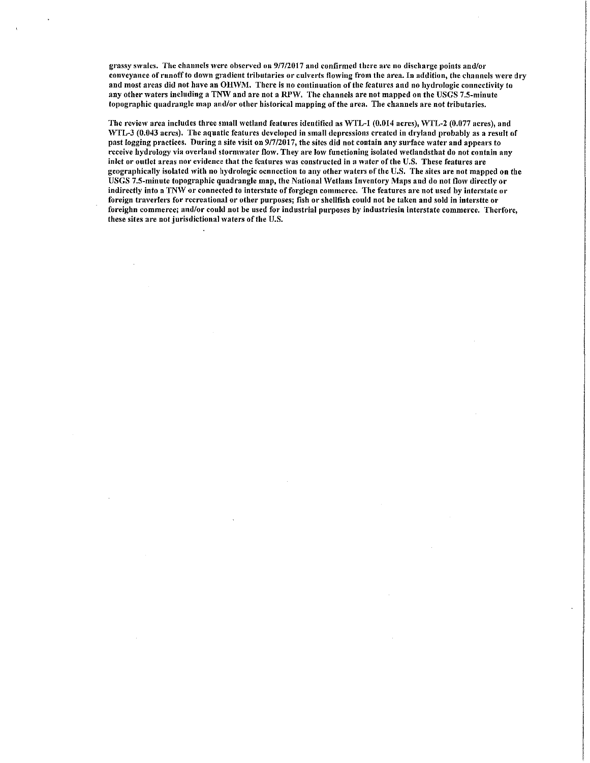grassy swales. The channels were observed on 9/7/2017 and confirmed there are no discharge points and/or conveyance of runoff to down gradient tributaries or culverts flowing from the area. In addition, the channels were dry and most areas did not have an OHWM. There is no continuation of the features and no hydrologic connectivity to any other waters including a TNW and are not a RPW. The channels are not mapped on the USGS 7.5-minute topographic quadrangle map and/or other historical mapping of the area. The channels are not tributaries.

The review area includes three small wetland features identified as WTL-1 (0.014 acres), WTL-2 (0.077 acres), and WTL-3 (0.043 acres). The aquatic features developed in small depressions created in dryland probably as a result of past logging practices. During a site visit on 9/7/2017, the sites did not contain any surface water and appears to receive hydrology via overland stormwater flow. They are low functioning isolated wetlandsthat do not contain any inlet or outlet areas nor evidence that the features was constructed in a water of the U.S. These features are geographically isolated with no hydrologic ocnnection to any other waters of the U.S. The sites are not mapped on the USGS 7.5-minute topographic quadrangle map, the National Wetlans Inventory Maps and do not flow directly or indirectly into a TNW or connected to interstate of forgiegn commerce. The features are not used by interstate or foreign traverlers for recreational or other purposes; fish or shellfish could not be taken and sold in interstte or foreighn commerce; and/or could not be used for industrial purposes by industriesin interstate commerce. Therforc, these sites are not jurisdictional waters of the U.S.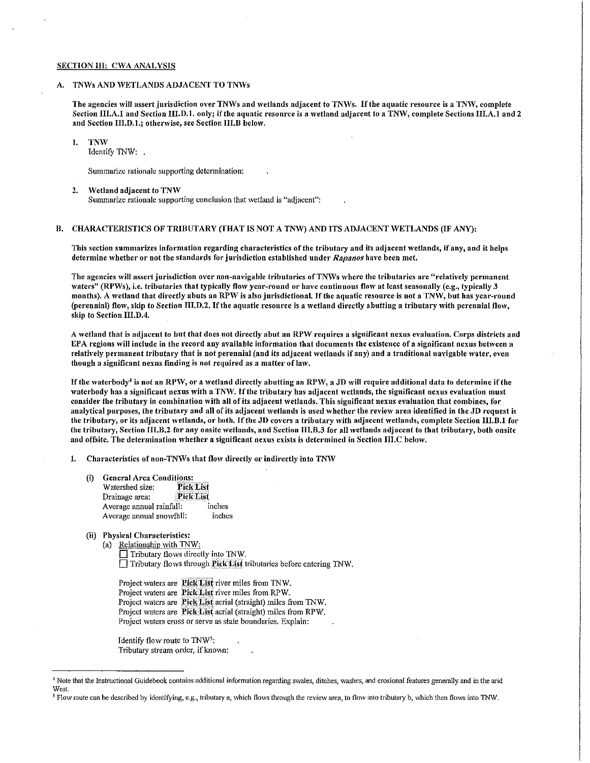## SECTION III: CWA ANALYSIS

## A. TNWs AND WETLANDS ADJACENT TO TNWs

The agencies will assert jurisdiction over TNWs and wetlands adjacent to TNWs. If the aquatic resource is a TNW, complete Section III.A.1 and Section III.D.1. only; if the aquatic resource is a wetland adjacent to a TNW, complete Sections III.A.1 and 2 and Section  $\Pi$ ,  $D$ ,  $1$ .; otherwise, see Section III.B below.

#### !. TNW

Identify TNW:

Summarize rationale supporting determination:

2. Wetland adjacent to TNW Summarize rationale supporting conclusion that wetland is "adjacent":

## B. CHARACTERISTICS OF TRIBUTARY (fHAT IS NOT A TNW) AND ITS ADJACENT WETLANDS (IF ANY):

This section summarizes information regarding characteristics of the tributary and its adjacent wetlands, if any, and it helps determine whether or not the standards for jurisdiction established under Rapanos have been met.

The agencies will assert jurisdiction over non-navigable tributaries of TNWs where the tributaries are "relatively permanent waters" (RPWs), i.e. tributaries that typically flow year-round or have continuous flow at least seasonally (e.g., typically 3 months). A wetland that directly abuts an RPW is also jurisdictional. If the aquatic resource is not a TNW, but has year-round (perennial) flow, skip to Section III.D.2. If the aquatic resource is a wetland directly abutting a tributary with perennial flow, skip to Section III.D.4.

A wetland that is adjacent to but that does not directly abut an RPW requires a significant nexus evaluation. Corps districts and  $EPA$  regions will include in the record any available information that documents the existence of a significant nexus between a relatively permanent tributary that is not perennial (and its adjacent wetlands if any) and a traditional navigable water, even though a significant nexus finding is not required as a matter of law.

If the waterbody<sup>4</sup> is not an RPW, or a wetland directly abutting an RPW, a JD will require additional data to determine if the waterbody has a significant nexus with a TNW. If the tributary has adiacent wetlands, the significant nexus evaluation must consider the tributary in combination with all of its adjacent wetlands. This significant nexus evaluation that combines, for analytical purposes, the tributary and all of its adjacent 'vetlands is used 'vhcther the review area identified in the JD request is the tributary, or its adjacent wetlands, or both. If the JD covers a tributary with adjacent wetlands, complete Section III.B.1 for the tributary, Section III.B.2 for any onsite wetlands, and Section III.B.3 for all wetlands adjacent to that tributary, both onsite and offsite. The determination whether a significant nexus exists is determined in Section  $\text{III.C}$  below,

1. Characteristics of non-TNWs that flow directly or indirectly into TNW

- (i) General Area Conditions:<br>Watershed size: Pick List Watershed size: **Fick List**<br>Drainage area: **Fick List** Drainage area: **Pick List**<br>Average annual rainfall: inches Average annual rainfall: inches<br>Average annual snowfall: inches Average annual snowfall:
- (ii) Physical Characteristics:
	- (a) Relationship with TNW:

Tributary flows directly into TNW. □ Tributary flows through Pick List tributaries before entering TNW.

Project waters are **Pick List** river miles from TNW. Project waters are Pick List river miles from RPW. Project waters are Pick List aerial (straight) miles from TNW. Project waters are Pick List aerial (straight) miles from RPW. Project waters cross or serve as state boundaries. Explain:

Identify flow route to  $TW^5$ : Tributary stream order, if known:

<sup>&</sup>lt;sup>4</sup> Note that the Instructional Guidebook contains additional information regarding swales, ditches, washes, and erosional features generally and in the arid West.

<sup>&</sup>lt;sup>5</sup> Flow route can be described by identifying, e.g., tributary a, which flows through the review area, to flow into tributary b, which then flows into TNW.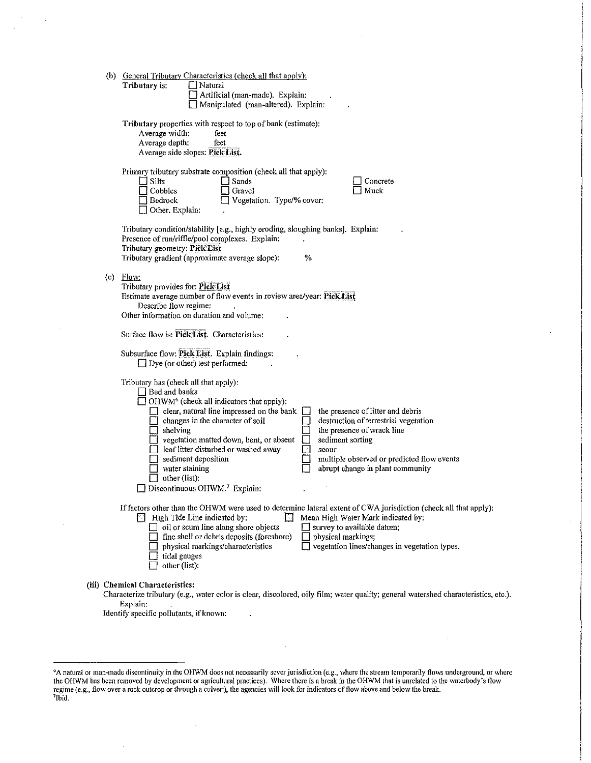|     | (b) General Tributary Characteristics (check all that apply):                                                                                                                                                                                                                                                                                                                                                                                                                                                                                                                                                                                                                             |
|-----|-------------------------------------------------------------------------------------------------------------------------------------------------------------------------------------------------------------------------------------------------------------------------------------------------------------------------------------------------------------------------------------------------------------------------------------------------------------------------------------------------------------------------------------------------------------------------------------------------------------------------------------------------------------------------------------------|
|     | Tributary is:<br>Natural<br>Artificial (man-made). Explain:<br>Manipulated (man-altered). Explain:                                                                                                                                                                                                                                                                                                                                                                                                                                                                                                                                                                                        |
|     | Tributary properties with respect to top of bank (estimate):<br>Average width:<br>feet<br>Average depth:<br>feet<br>Average side slopes: Pick List.                                                                                                                                                                                                                                                                                                                                                                                                                                                                                                                                       |
|     | Primary tributary substrate composition (check all that apply):<br>$\Box$ Silts<br>Sands<br>Concrete<br>Cobbles<br>Muck<br>Gravel<br>Vegetation. Type/% cover:<br>Bedrock<br>Other. Explain:                                                                                                                                                                                                                                                                                                                                                                                                                                                                                              |
|     | Tributary condition/stability [e.g., highly eroding, sloughing banks]. Explain:<br>Presence of run/riffle/pool complexes. Explain:<br>Tributary geometry: Pick List<br>%<br>Tributary gradient (approximate average slope):                                                                                                                                                                                                                                                                                                                                                                                                                                                               |
| (c) | Flow:<br>Tributary provides for: Pick List<br>Estimate average number of flow events in review area/year: Pick List<br>Describe flow regime:<br>Other information on duration and volume:                                                                                                                                                                                                                                                                                                                                                                                                                                                                                                 |
|     | Surface flow is: Pick List. Characteristics:                                                                                                                                                                                                                                                                                                                                                                                                                                                                                                                                                                                                                                              |
|     | Subsurface flow: Pick List. Explain findings:<br>$\Box$ Dye (or other) test performed:                                                                                                                                                                                                                                                                                                                                                                                                                                                                                                                                                                                                    |
|     | Tributary has (check all that apply):<br>$\Box$ Bed and banks<br>$\Box$ OHWM <sup>6</sup> (check all indicators that apply):<br>$\Box$ clear, natural line impressed on the bank<br>the presence of litter and debris<br>$\Box$<br>changes in the character of soil<br>destruction of terrestrial vegetation<br>shelving<br>the presence of wrack line<br>$\Box$ vegetation matted down, bent, or absent<br>sediment sorting<br>leaf litter disturbed or washed away<br>⊡<br>scour<br>sediment deposition<br>multiple observed or predicted flow events<br>$\Box$ water staining<br>abrupt change in plant community<br>other (list):<br>$\Box$ Discontinuous OHWM. <sup>7</sup> Explain: |
|     | If factors other than the OHWM were used to determine lateral extent of CWA jurisdiction (check all that apply):<br>High Tide Line indicated by:<br>Mean High Water Mark indicated by:<br>$\Box$ oil or scum line along shore objects<br>Survey to available datum;<br>fine shell or debris deposits (foreshore)<br>physical markings;<br>□ vegetation lines/changes in vegetation types.<br>physical markings/characteristics<br>tidal gauges<br>other (list):                                                                                                                                                                                                                           |
|     | (iii) Chemical Characteristics:<br>Characterize tributary (e.g., water color is clear, discolored, oily film; water quality; general watershed characteristics, etc.).<br>Explain:<br>Identify specific pollutants, if known:                                                                                                                                                                                                                                                                                                                                                                                                                                                             |

 $\hat{\mathcal{A}}$ 

<sup>6</sup> A natural or man-1nade discontinuity in the OHWM does not necessarily sever jurisdiction (e.g., where the stream temporarily flows underground, or where the OHWM has been removed by development or agricultural practices). Where there is a break in the OHWM that is unrelated to the waterbody's flow regime (e.g., flow over a rock outcrop or through a culvert), the agencies will look for indicators of flow above and below the break.<br><sup>7</sup>Ibid.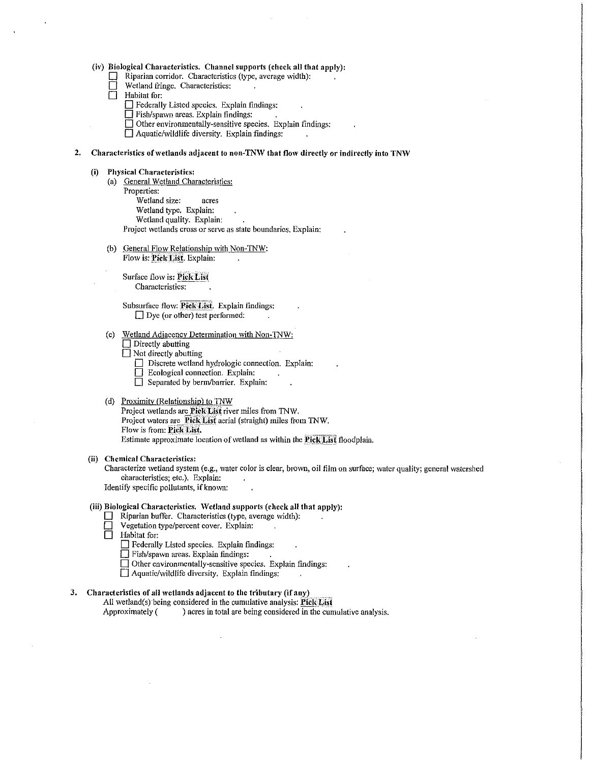## (iv) Biological Characteristics. Channel supports (check all that apply):<br>  $\Box$  Rinarian corridor. Characteristics (type, average width):

- Riparian corridor. Characteristics (type, average width):
- Wetland fringe. Characteristics:
- D Habitat for:
	- 0 Federally Listed species. Explain fmdings:
	- $\Box$  Fish/spawn areas. Explain findings:
	- $\Box$  Other environmentally-sensitive species. Explain findings:

 $\Box$  Aquatic/wildlife diversity. Explain findings:

#### 2. Characteristics of wetlands adjacent to non-TNW that flow directly or indirectly into TNW

#### (i) Physical Characteristics:

- (a) General Wetland Characteristics:
- Properties:

.<br>Wetland size: acres

Wetland type. Explain:

Wetland quality. Explain:

Project wetlands cross or serve as state boundaries. Explain:

(b) General Flow Relationship with Non-TNW: Flow is: Pick List. Explain:

Surface flow is: Pick List Characteristics:

Subsurface flow: Pick List. Explain findings:  $\Box$  Dye (or other) test performed:

## (c) Wetland Adjacency Determination with Non-TNW:

- $\Box$  Directly abutting
- $\Box$  Not directly abutting
	- $\Box$  Discrete wetland hydrologic connection. Explain:
	- $\Box$  Ecological connection. Explain:
	- $\Box$  Separated by berm/barrier. Explain:

## (d) Proximity (Relationship) to TNW

Project wetlands are Pick: List river miles from TNW. Project waters are Pick List aerial (straight) miles from TNW. Flow is from: Pick List. Estimate approximate location of wetland as within the Pick List floodplain.

#### (ii) Chemical Characteristics:

Characterize wetland system (e.g., water color is clear, brown, oil film on surface; water quality; general watershed characteristics; etc.). Explain:

Identify specific pollutants, if known:

## (iii) Biological Characteristics, \Vetland supports (check all that apply):

- $\Box$  Riparian buffer. Characteristics (type, average width):
- Vegetation type/percent cover. Explain:<br>
Habitat for:
- Habitat for:
	- D Federally Listed species. Explain findings:
	- 0 Fish/spawn areas. Explain findings:
	- $\Box$  Other environmentally-sensitive species. Explain findings:
	- $\Box$  Aquatic/wildlife diversity. Explain findings:

## 3. Characteristics of all wetlands adjacent to the tributary (if any)

All wetland(s) being considered in the cumulative analysis:  $PickList$ Approximately ( ) acres in total are being considered in the cumulative analysis.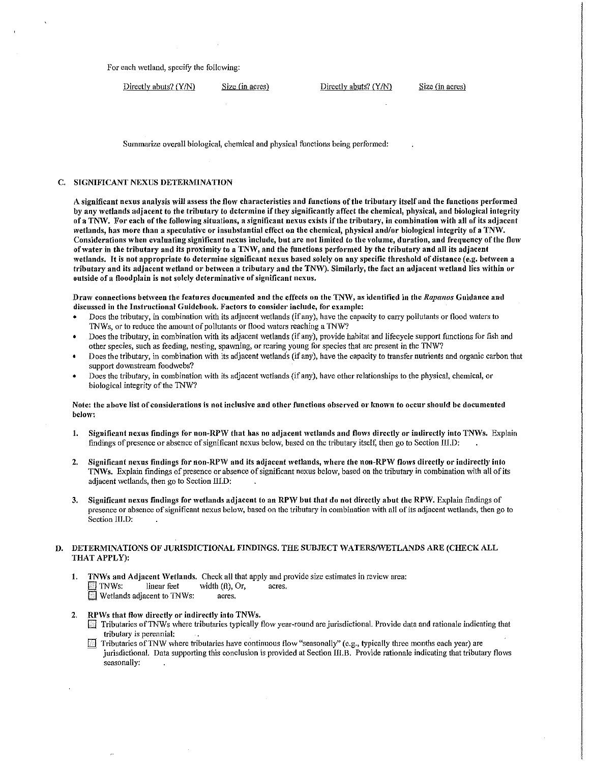For each wetland, specify the following:

Directly abuts?  $(Y/N)$  Size (in acres) Directly abuts?  $(Y/N)$  Size (in acres)

Summarize overall biological, chemical and physical functions being performed:

## C. SIGNIFICANT NEXUS DETERMINATION

A significant nexus analysis will assess the flow characteristics and functions of the tributary itself and the functions performed by any wetlands adjacent to the tributary to determine if they significantly affect the chemical, physical, and biological integrity of a TNW. For each of the following situations, a significant nexus exists if the tributary, in combination with all of its adjacent wetlands, has more than a speculative or insubstantial effect on the chemical, physical and/or biological integrity of a TNW. Considerations \Vhen evaluating significant nexus include, but arc not limited to the volume, duration, and frequency of the flow of water in the tributary and its proximity to a TNW, and the functions performed by the tributary and all its adjacent wetlands. It is not appropriate to determine significant nexus based solely on any specific threshold of distance (e.g. betiveen a tributary and its adjacent wetland or between a tributary and the TNW). Similarly, the fact an adjacent wetland lies within or outside of a floodplain is not solely determinative of significant nexus.

Dra'v connections betiveen the features documented and the effects on the TNtV, as identified in the *Rapanos* Guidance and discussed in the Instructional Guidebook. Factors to consider include, for example:

- Does the tributary, in combination with its adjacent wetlands (if any), have the capacity to carry pollutants or flood waters to TNWs, or to reduce the amount of pollutants or flood \vaters reaching a TNW?
- Does the tributary, in combination with its adjacent wetlands (if any), provide habitat and lifecycle support functions for fish and other species, such as feeding, nesting, spawning, or rearing young for species that are present in the TNW?
- Does the tributary, in combination with its adjacent \Vetland·s (if any), have the capacity to transfer nutrients and organic carbon that support downstream foodwebs?
- Does the tributary, in combination with its adjacent wetlands (if any), have other relationships to the physical, chemical, or biological integrity of the 1NW?

## Note: the above list of considerations is not inclusive and other functions observed or known to occur should be documented below:

- 1. Significant nexus findings for non-RPW that has no adjacent wetlands and flows directly or indirectly into TNWs. Explain findings of presence or absence of significant nexus below, based on the tributary itself, then go to Section III.D:
- 2. Significant nexus findings for non-RPW and its adjacent wetlands, where the non-RPW flows directly or indirectly into TNWs. Explain findings of presence or absence of significant nexus below, based on the tributary in combination with all of its adjacent wetlands, then go to Section III.D:
- 3. Significant nexus findings for wetlands adjacent to an RPW but that do not directly abut the RPW. Explain findings of presence or absence of significant nexus below, based on the tributary in combination \Vith all of its adjacent \Vetlands, then go to Section III.D:

## D. DETERMINATIONS OF JURISDICTIONAL FINDINGS. THE SUBJECT WATERS/WETLANDS ARE (CHECK ALL THAT APPLY):

- 1. TNWs and Adjacent Wetlands. Check all that apply and provide size estimates in review area:  $\Box$  TNWs: linear feet width (ft), Or, acres. Wetlands adjacent to TNWs: acres.
- RPWs that flow directly or indirectly into TNWs.
	- D Tributaries ofTNWs \vhere tributaries typically flo\v year-round are jurisdictional. Provide data and rationale indicating that tributary is perennial:
	- Tributaries of TNW where tributaries have continuous flow "seasonally" (e.g., typically three months each year) are - jurisdictional. Data supporting this conclusion is provided at Section lil.B. Provide rationale indicating that tributary flows seasonally: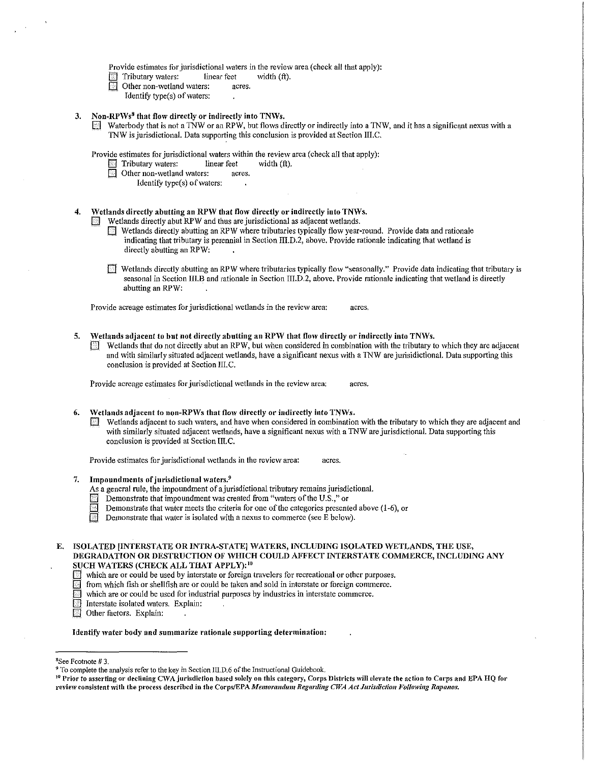Provide estimates for jurisdictional waters in the review area (check all that apply):

- Tributary waters: linear feet width (ft).<br>
Other non-wetland waters: acres.
- Other non-wetland waters:
- Identify type $(s)$  of waters:
- 3. Non-RPWs<sup>8</sup> that flow directly or indirectly into TNWs.
	- Waterbody that is not a TNW or an RPW, but flows directly or indirectly into a TNW, and it has a significant nexus with a 1NW is jurisdictional. Data supporting this conclusion is provided at Section III.C.

Provide estimates for jurisdictional waters within the review area (check all that apply):

- Tributary waters: linear feet width (ft).<br>
Definition-wetland waters: acres.
- Other non-wetland waters: acres.
	- Identify type $(s)$  of waters:

## 4. Wetlands directly abutting an RPW that flow directly or indirectly into TNWs.

Wetlands directly abut RPW and thus are jurisdictional as adjacent wetlands.

- Wetlands directly abutting an RPW where tributaries typically flow year-round. Provide data and rationale indicating that tributary is perennial in Section ffi.D.2, above. Provide rationale indicating that wetland is directly abutting an RPW:
- 0 Wetlands directly abutting an RPW where tributaries typically flo\.V "seasonally." Provide data indicating that tributary is seasonal in Section III,B and rationale in Section III.D.2, above. Provide rationale indicating that wetland is directly abutting an RPW:

Provide acreage estimates for jurisdictional wetlands in the review area: acres,

5. Wetlands adjacent to but not directly abutting an RPW that flow directly or indirectly into TNWs. Wetlands that do not directly abut an RPW, but when considered in combination with the tributary to which they are adjacent and with similarly situated adjacent wetlands, have a significant nexus with a TNW are jurisidictional. Data supporting this conclusion is provided at Section III.C.

Provide acreage estimates for jurisdictional wetlands in the review area; acres.

- Wetlands adjacent to non-RPWs that flow directly or indirectly into TNWs.
	- $\Box$  Wetlands adjacent to such waters, and have when considered in combination with the tributary to which they are adjacent and with similarly situated adjacent wetlands, have a significant nexus with a TNW are jurisdictional. Data supporting this conclusion is provided at Section III.C.

Provide estimates for jurisdictional wetlands in the review area: acres.

- 7. Impoundments of jurisdictional waters. $9$ 
	- As a general rule, the impoundment of a jurisdictional tributary remains jurisdictional.
	- Demonstrate that impoundment was created from "waters of the U.S.," or
	- Demonstrate that water meets the criteria for one of the categories presented above (1-6), or
	- $\Box$  Demonstrate that water is isolated with a nexus to commerce (see E below).

E. ISOLATED [INTERSTATE OR INTRA-STATE] WATERS, INCLUDING ISOLATED WETLANDS, THE USE, DEGRADATION OR DESTRUCTION OF WHICH COULD AFFECT INTERSTATE COMMERCE, INCLUDING ANY SUCH WATERS (CHECK ALL THAT APPLY):<sup>10</sup>

- which are or could be used by interstate or foreign travelers for recreational or other purposes.
- from which fish or shellfish are or could be taken and sold in interstate or foreign commerce.
- which are or could be used for industrial purposes by industries in interstate commerce.
- Interstate isolated waters. Explain:
- Other factors. Explain:

#### Identify water body and summarize rationale supporting determination:

8 See Footnote# 3.

<sup>9</sup> To complete the analysis refer to the key in Section III.D.6 of the Instructional Guidebook.<br><sup>10</sup> Prior to asserting or declining CWA jurisdiction based solely on this category, Corps Districts will elevate the action review consistent with the process described in the Corps/EPA Memorandum Regarding CWA Act Jurisdiction Following Rapanos.